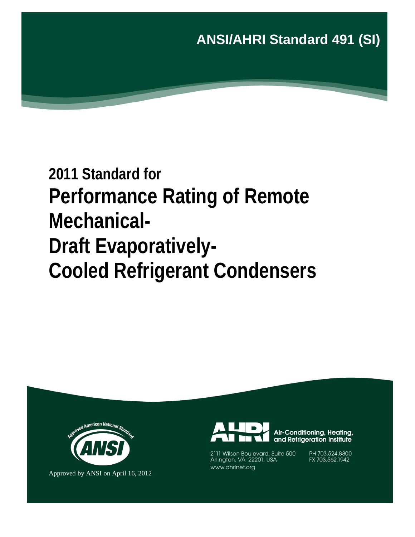**ANSI/AHRI Standard 491 (SI)** 

# **2011 Standard for Performance Rating of Remote Mechanical-Draft Evaporatively-Cooled Refrigerant Condensers**



Approved by ANSI on April 16, 2012



Air-Conditioning, Heating, and Refrigeration Institute

2111 Wilson Boulevard, Suite 500 Arlington, VA 22201, USA www.ahrinet.org

PH 703.524.8800 FX 703.562.1942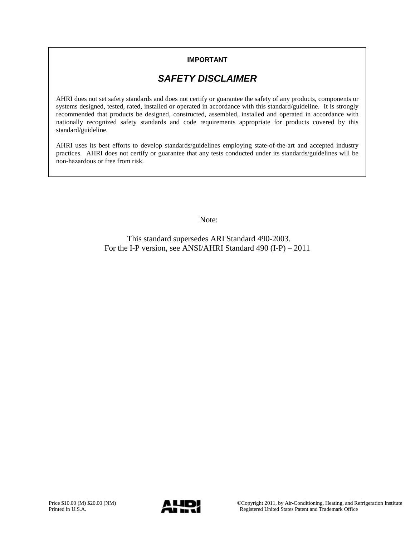### **IMPORTANT**

# *SAFETY DISCLAIMER*

AHRI does not set safety standards and does not certify or guarantee the safety of any products, components or systems designed, tested, rated, installed or operated in accordance with this standard/guideline. It is strongly recommended that products be designed, constructed, assembled, installed and operated in accordance with nationally recognized safety standards and code requirements appropriate for products covered by this standard/guideline.

AHRI uses its best efforts to develop standards/guidelines employing state-of-the-art and accepted industry practices. AHRI does not certify or guarantee that any tests conducted under its standards/guidelines will be non-hazardous or free from risk.

Note:

This standard supersedes ARI Standard 490-2003. For the I-P version, see ANSI/AHRI Standard 490 (I-P) – 2011

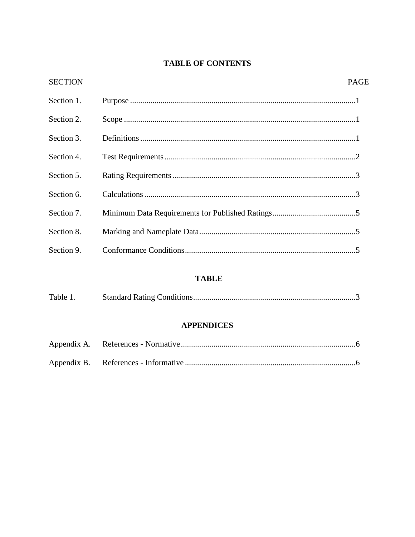## **TABLE OF CONTENTS**

| <b>SECTION</b> | <b>PAGE</b> |
|----------------|-------------|
| Section 1.     |             |
| Section 2.     |             |
| Section 3.     |             |
| Section 4.     |             |
| Section 5.     |             |
| Section 6.     |             |
| Section 7.     |             |
| Section 8.     |             |
| Section 9.     |             |
|                |             |

### **TABLE**

|  | Table 1. |  |  |
|--|----------|--|--|
|--|----------|--|--|

### **APPENDICES**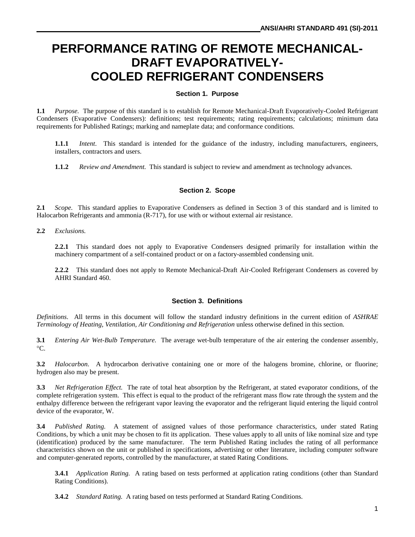# **PERFORMANCE RATING OF REMOTE MECHANICAL-DRAFT EVAPORATIVELY-COOLED REFRIGERANT CONDENSERS**

#### **Section 1. Purpose**

**1.1** *Purpose.* The purpose of this standard is to establish for Remote Mechanical-Draft Evaporatively-Cooled Refrigerant Condensers (Evaporative Condensers): definitions; test requirements; rating requirements; calculations; minimum data requirements for Published Ratings; marking and nameplate data; and conformance conditions.

**1.1.1** *Intent*. This standard is intended for the guidance of the industry, including manufacturers, engineers, installers, contractors and users.

**1.1.2** *Review and Amendment.* This standard is subject to review and amendment as technology advances.

#### **Section 2. Scope**

**2.1** *Scope.*This standard applies to Evaporative Condensers as defined in Section 3 of this standard and is limited to Halocarbon Refrigerants and ammonia (R-717), for use with or without external air resistance.

**2.2** *Exclusions.*

**2.2.1** This standard does not apply to Evaporative Condensers designed primarily for installation within the machinery compartment of a self-contained product or on a factory-assembled condensing unit.

**2.2.2** This standard does not apply to Remote Mechanical-Draft Air-Cooled Refrigerant Condensers as covered by AHRI Standard 460.

#### **Section 3. Definitions**

*Definitions*. All terms in this document will follow the standard industry definitions in the current edition of *ASHRAE Terminology of Heating, Ventilation, Air Conditioning and Refrigeration* unless otherwise defined in this section.

**3.1** *Entering Air Wet-Bulb Temperature.* The average wet-bulb temperature of the air entering the condenser assembly,  $^{\circ}C.$ 

**3.2** *Halocarbon.* A hydrocarbon derivative containing one or more of the halogens bromine, chlorine, or fluorine; hydrogen also may be present.

**3.3** *Net Refrigeration Effect.* The rate of total heat absorption by the Refrigerant, at stated evaporator conditions, of the complete refrigeration system. This effect is equal to the product of the refrigerant mass flow rate through the system and the enthalpy difference between the refrigerant vapor leaving the evaporator and the refrigerant liquid entering the liquid control device of the evaporator, W.

**3.4** *Published Rating.* A statement of assigned values of those performance characteristics, under stated Rating Conditions, by which a unit may be chosen to fit its application. These values apply to all units of like nominal size and type (identification) produced by the same manufacturer. The term Published Rating includes the rating of all performance characteristics shown on the unit or published in specifications, advertising or other literature, including computer software and computer-generated reports, controlled by the manufacturer, at stated Rating Conditions.

**3.4.1** *Application Rating.* A rating based on tests performed at application rating conditions (other than Standard Rating Conditions).

**3.4.2** *Standard Rating.* A rating based on tests performed at Standard Rating Conditions.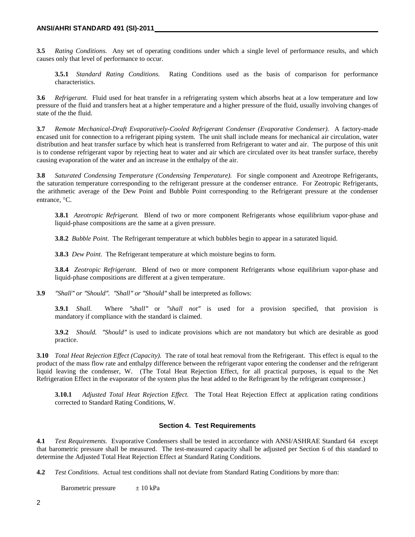**3.5** *Rating Conditions.* Any set of operating conditions under which a single level of performance results, and which causes only that level of performance to occur.

**3.5.1** *Standard Rating Conditions.* Rating Conditions used as the basis of comparison for performance characteristics.

**3.6** *Refrigerant.* Fluid used for heat transfer in a refrigerating system which absorbs heat at a low temperature and low pressure of the fluid and transfers heat at a higher temperature and a higher pressure of the fluid, usually involving changes of state of the the fluid.

**3.7** *Remote Mechanical-Draft Evaporatively-Cooled Refrigerant Condenser (Evaporative Condenser).* A factory-made encased unit for connection to a refrigerant piping system. The unit shall include means for mechanical air circulation, water distribution and heat transfer surface by which heat is transferred from Refrigerant to water and air. The purpose of this unit is to condense refrigerant vapor by rejecting heat to water and air which are circulated over its heat transfer surface, thereby causing evaporation of the water and an increase in the enthalpy of the air.

**3.8** *Saturated Condensing Temperature (Condensing Temperature).* For single component and Azeotrope Refrigerants, the saturation temperature corresponding to the refrigerant pressure at the condenser entrance. For Zeotropic Refrigerants, the arithmetic average of the Dew Point and Bubble Point corresponding to the Refrigerant pressure at the condenser entrance, °C.

**3.8.1** *Azeotropic Refrigerant.* Blend of two or more component Refrigerants whose equilibrium vapor-phase and liquid-phase compositions are the same at a given pressure.

**3.8.2** *Bubble Point.* The Refrigerant temperature at which bubbles begin to appear in a saturated liquid.

**3.8.3** *Dew Point.* The Refrigerant temperature at which moisture begins to form.

**3.8.4** *Zeotropic Refrigerant*. Blend of two or more component Refrigerants whose equilibrium vapor-phase and liquid-phase compositions are different at a given temperature.

**3.9** *″Shall″ or ″Should″. ″Shall″ or ″Should″* shall be interpreted as follows:

**3.9.1** *Shall.* Where *″shall″* or *″shall not″* is used for a provision specified, that provision is mandatory if compliance with the standard is claimed.

**3.9.2** *Should. ″Should″* is used to indicate provisions which are not mandatory but which are desirable as good practice.

**3.10** *Total Heat Rejection Effect (Capacity).* The rate of total heat removal from the Refrigerant. This effect is equal to the product of the mass flow rate and enthalpy difference between the refrigerant vapor entering the condenser and the refrigerant liquid leaving the condenser, W. (The Total Heat Rejection Effect, for all practical purposes, is equal to the Net Refrigeration Effect in the evaporator of the system plus the heat added to the Refrigerant by the refrigerant compressor.)

**3.10.1** *Adjusted Total Heat Rejection Effect.* The Total Heat Rejection Effect at application rating conditions corrected to Standard Rating Conditions, W.

#### **Section 4. Test Requirements**

**4.1** *Test Requirements.* Evaporative Condensers shall be tested in accordance with ANSI/ASHRAE Standard 64 except that barometric pressure shall be measured. The test-measured capacity shall be adjusted per Section 6 of this standard to determine the Adjusted Total Heat Rejection Effect at Standard Rating Conditions.

**4.2** *Test Conditions.* Actual test conditions shall not deviate from Standard Rating Conditions by more than:

Barometric pressure  $\pm 10 \text{ kPa}$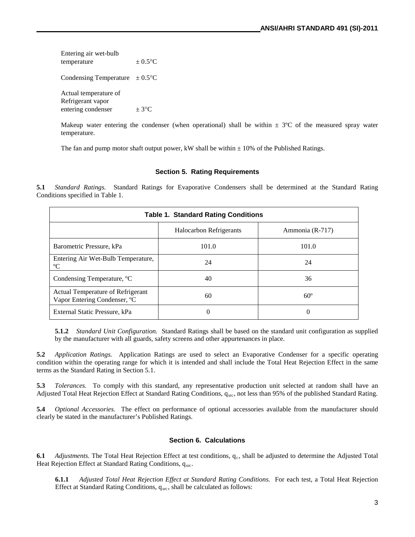Entering air wet-bulb temperature  $+ 0.5^{\circ}$ C Condensing Temperature  $\pm 0.5^{\circ}$ C Actual temperature of Refrigerant vapor entering condenser  $\pm 3^{\circ}C$ 

Makeup water entering the condenser (when operational) shall be within  $\pm$  3°C of the measured spray water temperature.

The fan and pump motor shaft output power, kW shall be within  $\pm$  10% of the Published Ratings.

#### **Section 5. Rating Requirements**

**5.1** *Standard Ratings.* Standard Ratings for Evaporative Condensers shall be determined at the Standard Rating Conditions specified in Table 1.

| <b>Table 1. Standard Rating Conditions</b>                        |                         |                 |
|-------------------------------------------------------------------|-------------------------|-----------------|
|                                                                   | Halocarbon Refrigerants | Ammonia (R-717) |
| Barometric Pressure, kPa                                          | 101.0                   | 101.0           |
| Entering Air Wet-Bulb Temperature,<br>$\rm ^{o}C$                 | 24                      | 24              |
| Condensing Temperature, °C                                        | 40                      | 36              |
| Actual Temperature of Refrigerant<br>Vapor Entering Condenser, °C | 60                      | $60^\circ$      |
| External Static Pressure, kPa                                     | 0                       | 0               |

**5.1.2** *Standard Unit Configuration.* Standard Ratings shall be based on the standard unit configuration as supplied by the manufacturer with all guards, safety screens and other appurtenances in place.

**5.2** *Application Ratings.* Application Ratings are used to select an Evaporative Condenser for a specific operating condition within the operating range for which it is intended and shall include the Total Heat Rejection Effect in the same terms as the Standard Rating in Section 5.1.

**5.3** *Tolerances.* To comply with this standard, any representative production unit selected at random shall have an Adjusted Total Heat Rejection Effect at Standard Rating Conditions,  $q_{src}$ , not less than 95% of the published Standard Rating.

**5.4** *Optional Accessories.* The effect on performance of optional accessories available from the manufacturer should clearly be stated in the manufacturer's Published Ratings.

#### **Section 6. Calculations**

**6.1** *Adjustments*. The Total Heat Rejection Effect at test conditions, q<sub>c</sub>, shall be adjusted to determine the Adjusted Total Heat Rejection Effect at Standard Rating Conditions,  $q_{src}$ .

**6.1.1** *Adjusted Total Heat Rejection Effect at Standard Rating Conditions.* For each test, a Total Heat Rejection Effect at Standard Rating Conditions,  $q_{src}$ , shall be calculated as follows: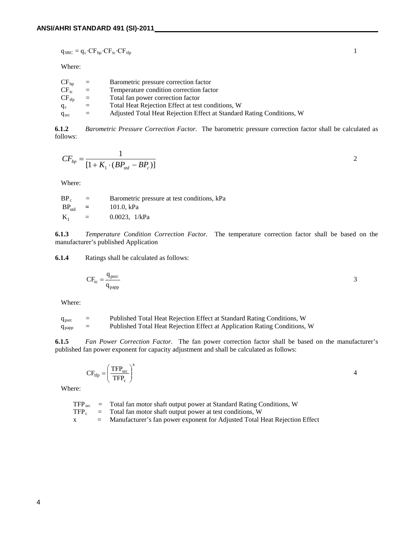$$
q_{\rm SRC} = q_{\rm c} \cdot \rm CF_{bp} \cdot \rm CF_{\rm tr} \cdot \rm CF_{\rm trp}
$$

Where:

| $CF_{bp}$  | $=$ | Barometric pressure correction factor                                 |
|------------|-----|-----------------------------------------------------------------------|
| $CF_{tc}$  | $=$ | Temperature condition correction factor                               |
| $CF_{tfp}$ | $=$ | Total fan power correction factor                                     |
| $q_c$      | $=$ | Total Heat Rejection Effect at test conditions, W                     |
| $q_{src}$  | $=$ | Adjusted Total Heat Rejection Effect at Standard Rating Conditions, W |

**6.1.2** *Barometric Pressure Correction Factor.* The barometric pressure correction factor shall be calculated as follows:

$$
CF_{bp} = \frac{1}{[1 + K_1 \cdot (BP_{std} - BP_c)]}
$$

Where:

| $BP_c$              | $=$      | Barometric pressure at test conditions, kPa |
|---------------------|----------|---------------------------------------------|
| $BP_{\text{std}}$ = |          | 101.0. kPa                                  |
| $K_1$               | $\equiv$ | $0.0023$ , $1/kPa$                          |

**6.1.3** *Temperature Condition Correction Factor.*The temperature correction factor shall be based on the manufacturer's published Application

**6.1.4** Ratings shall be calculated as follows:

$$
CF_{tc} = \frac{q_{psrc}}{q_{papp}} \tag{3}
$$

Where:

| $q_{psrc}$ | = | Published Total Heat Rejection Effect at Standard Rating Conditions, W    |
|------------|---|---------------------------------------------------------------------------|
| $q_{papp}$ | = | Published Total Heat Rejection Effect at Application Rating Conditions, W |

**6.1.5** *Fan Power Correction Factor.* The fan power correction factor shall be based on the manufacturer's published fan power exponent for capacity adjustment and shall be calculated as follows:

$$
CF_{tfp} = \left(\frac{TFP_{src}}{TFP_c}\right)^x
$$

Where:

TFP<sub>src</sub> = Total fan motor shaft output power at Standard Rating Conditions, W<br>
TFP<sub>c</sub> = Total fan motor shaft output power at test conditions, W Total fan motor shaft output power at test conditions, W x = Manufacturer's fan power exponent for Adjusted Total Heat Rejection Effect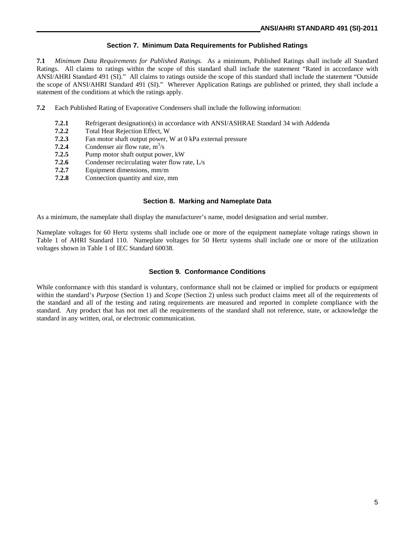#### **Section 7. Minimum Data Requirements for Published Ratings**

**7.1** *Minimum Data Requirements for Published Ratings.* As a minimum, Published Ratings shall include all Standard Ratings. All claims to ratings within the scope of this standard shall include the statement "Rated in accordance with ANSI/AHRI Standard 491 (SI)." All claims to ratings outside the scope of this standard shall include the statement "Outside the scope of ANSI/AHRI Standard 491 (SI)." Wherever Application Ratings are published or printed, they shall include a statement of the conditions at which the ratings apply.

- **7.2** Each Published Rating of Evaporative Condensers shall include the following information:
	- **7.2.1** Refrigerant designation(s) in accordance with ANSI/ASHRAE Standard 34 with Addenda<br>**7.2.2** Total Heat Rejection Effect. W
	- **7.2.2** Total Heat Rejection Effect, W<br>**7.2.3** Fan motor shaft output power.
	- Fan motor shaft output power, W at 0 kPa external pressure
	- **7.2.4** Condenser air flow rate,  $m^3/s$
	- **7.2.5** Pump motor shaft output power, kW
	- **7.2.6** Condenser recirculating water flow rate, L/s
	- **7.2.7** Equipment dimensions, mm/m
	- **7.2.8** Connection quantity and size, mm

#### **Section 8. Marking and Nameplate Data**

As a minimum, the nameplate shall display the manufacturer's name, model designation and serial number.

Nameplate voltages for 60 Hertz systems shall include one or more of the equipment nameplate voltage ratings shown in Table 1 of AHRI Standard 110. Nameplate voltages for 50 Hertz systems shall include one or more of the utilization voltages shown in Table 1 of IEC Standard 60038.

#### **Section 9. Conformance Conditions**

While conformance with this standard is voluntary, conformance shall not be claimed or implied for products or equipment within the standard's *Purpose* (Section 1) and *Scope* (Section 2) unless such product claims meet all of the requirements of the standard and all of the testing and rating requirements are measured and reported in complete compliance with the standard. Any product that has not met all the requirements of the standard shall not reference, state, or acknowledge the standard in any written, oral, or electronic communication.